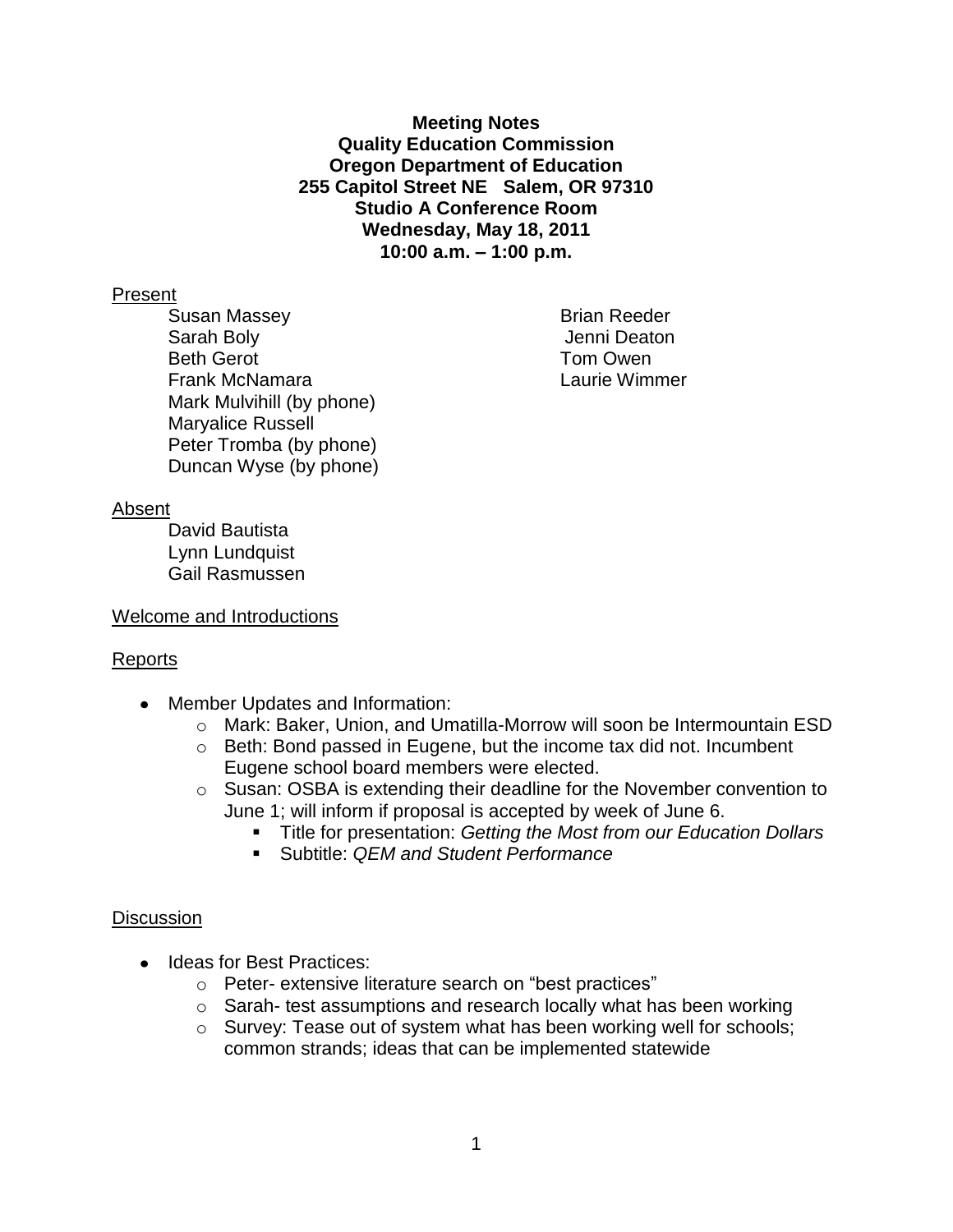**Meeting Notes Quality Education Commission Oregon Department of Education 255 Capitol Street NE Salem, OR 97310 Studio A Conference Room Wednesday, May 18, 2011 10:00 a.m. – 1:00 p.m.**

#### Present

Susan Massey **Brian Reeder** Sarah Boly Jenni Deaton Beth Gerot **Tom Owen** Frank McNamara Laurie Wimmer Mark Mulvihill (by phone) Maryalice Russell Peter Tromba (by phone) Duncan Wyse (by phone)

#### Absent

David Bautista Lynn Lundquist Gail Rasmussen

#### Welcome and Introductions

# Reports

- Member Updates and Information:
	- o Mark: Baker, Union, and Umatilla-Morrow will soon be Intermountain ESD
	- o Beth: Bond passed in Eugene, but the income tax did not. Incumbent Eugene school board members were elected.
	- o Susan: OSBA is extending their deadline for the November convention to June 1; will inform if proposal is accepted by week of June 6.
		- Title for presentation: *Getting the Most from our Education Dollars*
		- Subtitle: *QEM and Student Performance*

# **Discussion**

- Ideas for Best Practices:
	- o Peter- extensive literature search on "best practices"
	- o Sarah- test assumptions and research locally what has been working
	- o Survey: Tease out of system what has been working well for schools; common strands; ideas that can be implemented statewide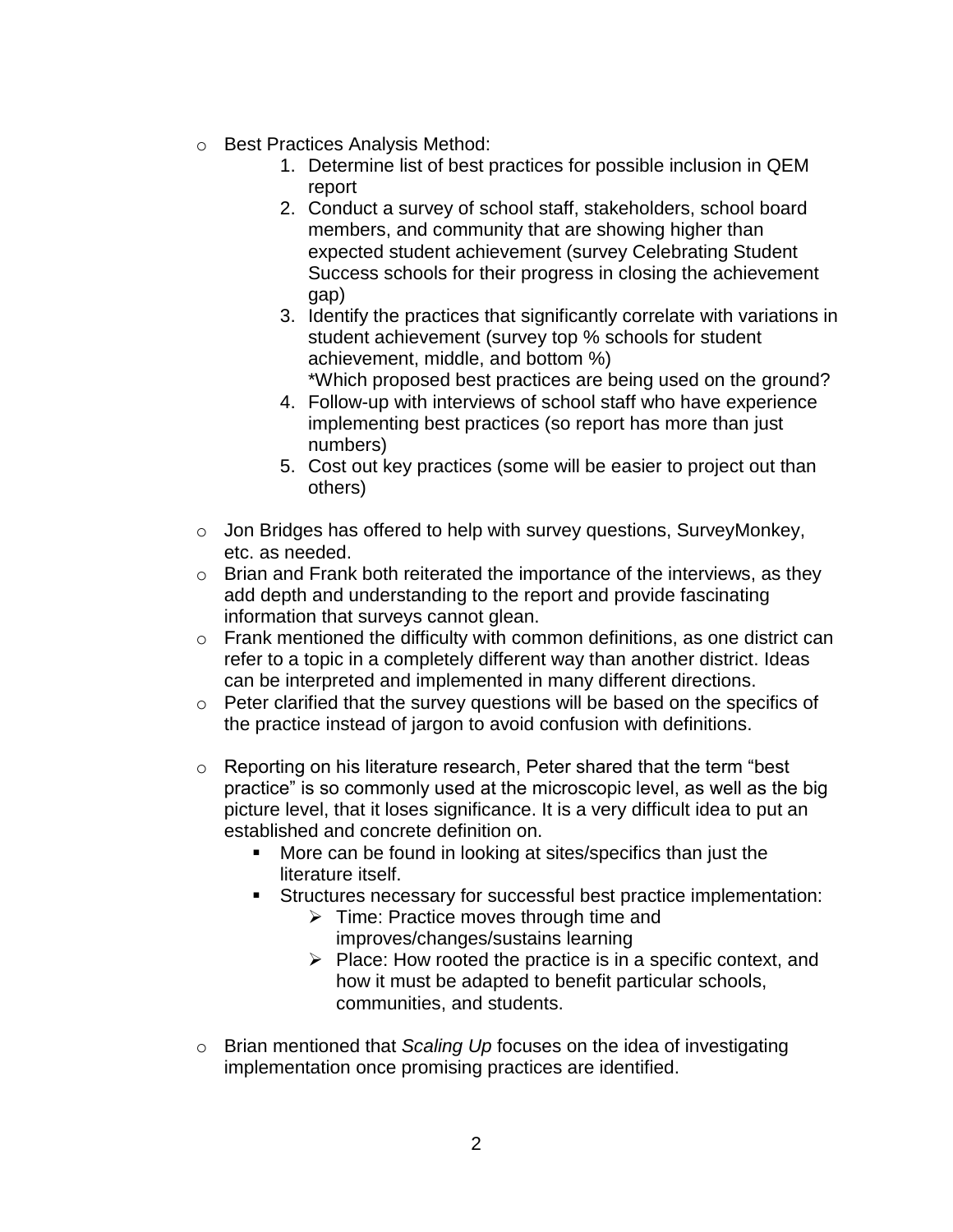- o Best Practices Analysis Method:
	- 1. Determine list of best practices for possible inclusion in QEM report
	- 2. Conduct a survey of school staff, stakeholders, school board members, and community that are showing higher than expected student achievement (survey Celebrating Student Success schools for their progress in closing the achievement gap)
	- 3. Identify the practices that significantly correlate with variations in student achievement (survey top % schools for student achievement, middle, and bottom %) \*Which proposed best practices are being used on the ground?
	- 4. Follow-up with interviews of school staff who have experience implementing best practices (so report has more than just numbers)
	- 5. Cost out key practices (some will be easier to project out than others)
- o Jon Bridges has offered to help with survey questions, SurveyMonkey, etc. as needed.
- o Brian and Frank both reiterated the importance of the interviews, as they add depth and understanding to the report and provide fascinating information that surveys cannot glean.
- $\circ$  Frank mentioned the difficulty with common definitions, as one district can refer to a topic in a completely different way than another district. Ideas can be interpreted and implemented in many different directions.
- o Peter clarified that the survey questions will be based on the specifics of the practice instead of jargon to avoid confusion with definitions.
- $\circ$  Reporting on his literature research, Peter shared that the term "best practice" is so commonly used at the microscopic level, as well as the big picture level, that it loses significance. It is a very difficult idea to put an established and concrete definition on.
	- More can be found in looking at sites/specifics than just the literature itself.
	- Structures necessary for successful best practice implementation:
		- $\triangleright$  Time: Practice moves through time and improves/changes/sustains learning
		- $\triangleright$  Place: How rooted the practice is in a specific context, and how it must be adapted to benefit particular schools, communities, and students.
- o Brian mentioned that *Scaling Up* focuses on the idea of investigating implementation once promising practices are identified.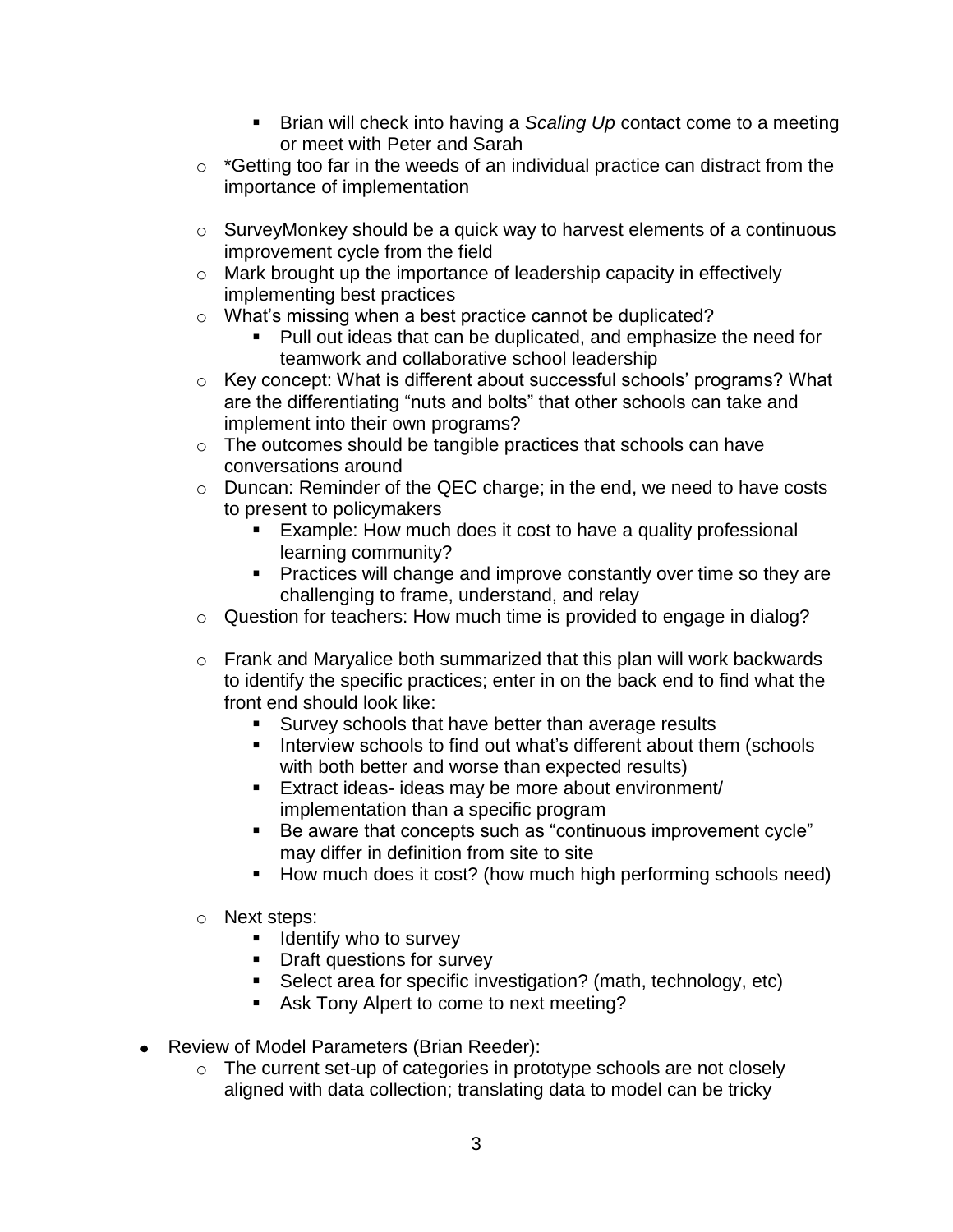- Brian will check into having a *Scaling Up* contact come to a meeting or meet with Peter and Sarah
- $\circ$  \*Getting too far in the weeds of an individual practice can distract from the importance of implementation
- o SurveyMonkey should be a quick way to harvest elements of a continuous improvement cycle from the field
- o Mark brought up the importance of leadership capacity in effectively implementing best practices
- o What's missing when a best practice cannot be duplicated?
	- Pull out ideas that can be duplicated, and emphasize the need for teamwork and collaborative school leadership
- o Key concept: What is different about successful schools' programs? What are the differentiating "nuts and bolts" that other schools can take and implement into their own programs?
- o The outcomes should be tangible practices that schools can have conversations around
- o Duncan: Reminder of the QEC charge; in the end, we need to have costs to present to policymakers
	- **Example: How much does it cost to have a quality professional** learning community?
	- **Practices will change and improve constantly over time so they are** challenging to frame, understand, and relay
- o Question for teachers: How much time is provided to engage in dialog?
- o Frank and Maryalice both summarized that this plan will work backwards to identify the specific practices; enter in on the back end to find what the front end should look like:
	- Survey schools that have better than average results
	- **Interview schools to find out what's different about them (schools** with both better and worse than expected results)
	- Extract ideas- ideas may be more about environment/ implementation than a specific program
	- Be aware that concepts such as "continuous improvement cycle" may differ in definition from site to site
	- How much does it cost? (how much high performing schools need)
- o Next steps:
	- $\blacksquare$  Identify who to survey
	- **Draft questions for survey**
	- Select area for specific investigation? (math, technology, etc)
	- Ask Tony Alpert to come to next meeting?
- Review of Model Parameters (Brian Reeder):
	- o The current set-up of categories in prototype schools are not closely aligned with data collection; translating data to model can be tricky